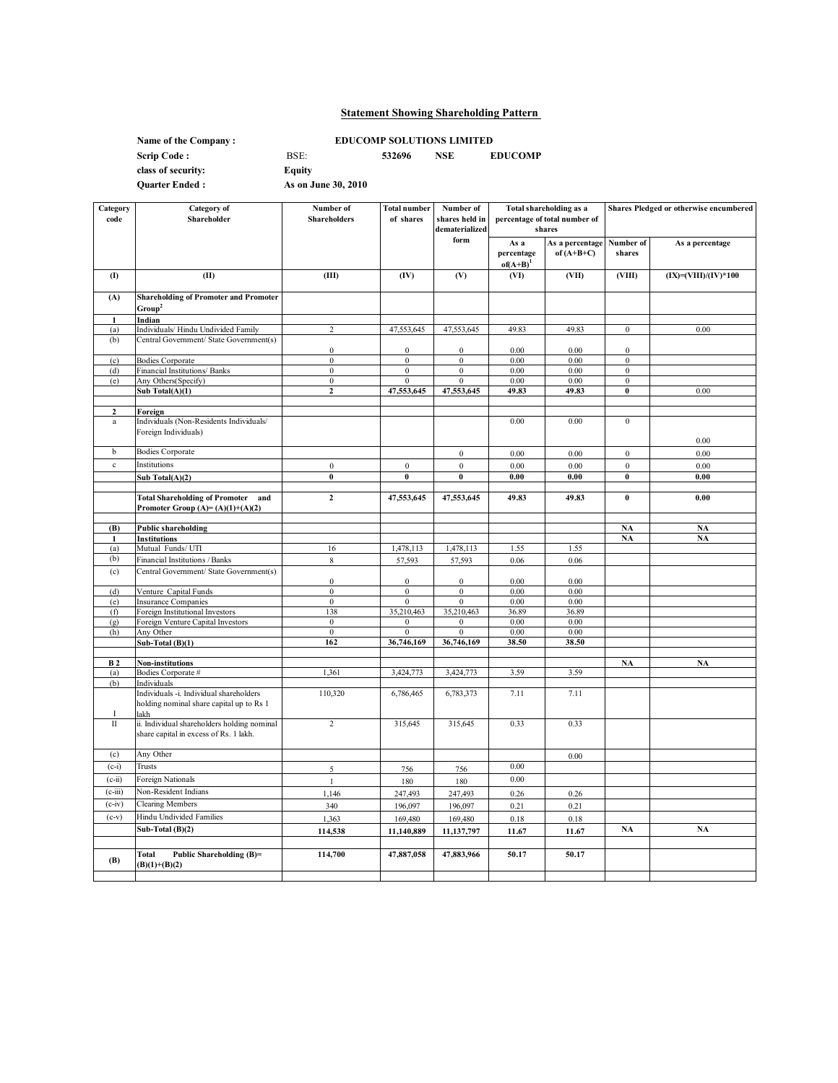# **Statement Showing Shareholding Pattern**

**Name of the Company : class of security:** 

**EDUCOMP SOLUTIONS LIMITED**

**Scrip Code :** BSE: **532696 NSE EDUCOMP**

**Quarter Ended :**

**Equity As on June 30, 2010**

| Category<br>code | <b>Category</b> of<br>Shareholder                                                           | Number of<br><b>Shareholders</b>     | <b>Total number</b><br>of shares     | Number of<br>shares held in<br>dematerialized | <b>Total shareholding as a</b><br>percentage of total number of<br>shares |                                 | <b>Shares Pledged or otherwise encumbered</b> |                          |
|------------------|---------------------------------------------------------------------------------------------|--------------------------------------|--------------------------------------|-----------------------------------------------|---------------------------------------------------------------------------|---------------------------------|-----------------------------------------------|--------------------------|
|                  |                                                                                             |                                      |                                      | form                                          | As a<br>percentage<br>$of(A+B)^{1}$                                       | As a percentage<br>of $(A+B+C)$ | Number of<br>shares                           | As a percentage          |
| (1)              | (II)                                                                                        | (III)                                | (IV)                                 | (V)                                           | (VI)                                                                      | (VII)                           | (VIII)                                        | $(IX) = (VIII)/(IV)*100$ |
| (A)              | <b>Shareholding of Promoter and Promoter</b><br>Group <sup>2</sup>                          |                                      |                                      |                                               |                                                                           |                                 |                                               |                          |
|                  | Indian                                                                                      |                                      |                                      |                                               |                                                                           |                                 |                                               |                          |
| (a)<br>(b)       | Individuals/Hindu Undivided Family<br>Central Government/ State Government(s)               | $\overline{c}$                       | 47,553,645                           | 47,553,645                                    | 49.83                                                                     | 49.83                           | $\bf{0}$                                      | 0.00                     |
| (c)              | <b>Bodies Corporate</b>                                                                     | $\boldsymbol{0}$<br>$\boldsymbol{0}$ | $\boldsymbol{0}$<br>$\boldsymbol{0}$ | $\mathbf{0}$<br>$\bf{0}$                      | 0.00<br>0.00                                                              | 0.00<br>0.00                    | $\mathbf{0}$<br>$\bf{0}$                      |                          |
| (d)              | Financial Institutions/ Banks                                                               | $\overline{0}$                       | $\overline{0}$                       | $\overline{0}$                                | 0.00                                                                      | 0.00                            | $\overline{0}$                                |                          |
| (e)              | Any Others(Specify)                                                                         | $\boldsymbol{0}$                     | $\boldsymbol{0}$                     | $\boldsymbol{0}$                              | 0.00                                                                      | 0.00                            | $\bf{0}$                                      |                          |
|                  | Sub Total(A)(1)                                                                             | $\mathbf{z}$                         | 47,553,645                           | 47,553,645                                    | 49.83                                                                     | 49.83                           | $\bf{0}$                                      | 0.00                     |
| $\mathbf{2}$     | Foreign                                                                                     |                                      |                                      |                                               |                                                                           |                                 |                                               |                          |
| $\rm{a}$         | Individuals (Non-Residents Individuals/<br>Foreign Individuals)                             |                                      |                                      |                                               | 0.00                                                                      | 0.00                            | $\bf{0}$                                      | 0.00                     |
| b                | <b>Bodies Corporate</b>                                                                     |                                      |                                      | $\mathbf{0}$                                  | 0.00                                                                      | 0.00                            | $\boldsymbol{0}$                              | 0.00                     |
| $\rm c$          | Institutions                                                                                | $\boldsymbol{0}$                     | $\boldsymbol{0}$                     | $\boldsymbol{0}$                              | 0.00                                                                      | 0.00                            | $\boldsymbol{0}$                              | 0.00                     |
|                  | $\overline{\text{Sub Total}(A)(2)}$                                                         | $\pmb{0}$                            | $\boldsymbol{0}$                     | $\pmb{0}$                                     | 0.00                                                                      | $\boldsymbol{0.00}$             | $\boldsymbol{0}$                              | $\boldsymbol{0.00}$      |
|                  |                                                                                             |                                      |                                      |                                               |                                                                           |                                 |                                               |                          |
|                  | <b>Total Shareholding of Promoter and</b><br>Promoter Group $(A)=(A)(1)+(A)(2)$             | $\overline{2}$                       | 47,553,645                           | 47,553,645                                    | 49.83                                                                     | 49.83                           | $\pmb{0}$                                     | 0.00                     |
| (B)              | <b>Public shareholding</b>                                                                  |                                      |                                      |                                               |                                                                           |                                 | NA                                            | <b>NA</b>                |
| 1                | Institutions                                                                                |                                      |                                      |                                               |                                                                           |                                 | NA                                            | <b>NA</b>                |
| (a)              | Mutual Funds/ UTI                                                                           | 16                                   | 1,478,113                            | 1,478,113                                     | 1.55                                                                      | 1.55                            |                                               |                          |
| (b)              | Financial Institutions / Banks                                                              | 8                                    | 57,593                               | 57,593                                        | 0.06                                                                      | 0.06                            |                                               |                          |
| (c)              | Central Government/ State Government(s)                                                     | $\mathbf{0}$                         | $\bf{0}$                             | $\mathbf{0}$                                  | 0.00                                                                      | 0.00                            |                                               |                          |
| (d)              | Venture Capital Funds                                                                       | $\boldsymbol{0}$                     | $\boldsymbol{0}$                     | $\boldsymbol{0}$                              | 0.00                                                                      | 0.00                            |                                               |                          |
| (e)              | Insurance Companies                                                                         | $\mathbf{0}$                         | $\mathbf{0}$                         | $\mathbf{0}$                                  | 0.00                                                                      | 0.00                            |                                               |                          |
| (f)              | Foreign Institutional Investors                                                             | 138                                  | 35,210,463                           | 35,210,463                                    | 36.89                                                                     | 36.89                           |                                               |                          |
| (g)<br>(h)       | Foreign Venture Capital Investors<br>Any Other                                              | $\mathbf{0}$<br>$\boldsymbol{0}$     | $\mathbf{0}$<br>$\boldsymbol{0}$     | $\mathbf{0}$<br>$\bf{0}$                      | 0.00<br>0.00                                                              | 0.00<br>0.00                    |                                               |                          |
|                  | Sub-Total $(B)(1)$                                                                          | 162                                  | 36,746,169                           | 36,746,169                                    | 38.50                                                                     | 38.50                           |                                               |                          |
|                  |                                                                                             |                                      |                                      |                                               |                                                                           |                                 |                                               |                          |
| B <sub>2</sub>   | <b>Non-institutions</b>                                                                     |                                      |                                      |                                               |                                                                           |                                 | <b>NA</b>                                     | <b>NA</b>                |
| (a)<br>(b)       | Bodies Corporate #<br>Individuals                                                           | 1,361                                | 3,424,773                            | 3,424,773                                     | 3.59                                                                      | 3.59                            |                                               |                          |
|                  | Individuals -i. Individual shareholders<br>holding nominal share capital up to Rs 1<br>lakh | 110,320                              | 6,786,465                            | 6,783,373                                     | 7.11                                                                      | 7.11                            |                                               |                          |
| $\rm II$         | ii. Individual shareholders holding nominal<br>share capital in excess of Rs. 1 lakh.       | $\overline{c}$                       | 315,645                              | 315,645                                       | 0.33                                                                      | 0.33                            |                                               |                          |
| (c)              | Any Other                                                                                   |                                      |                                      |                                               |                                                                           | 0.00                            |                                               |                          |
| $(c-i)$          | Trusts                                                                                      | 5                                    | 756                                  | 756                                           | 0.00                                                                      |                                 |                                               |                          |
| $(c-ii)$         | Foreign Nationals                                                                           | $\mathbf{1}$                         | 180                                  | 180                                           | 0.00                                                                      |                                 |                                               |                          |
| $(c-iii)$        | Non-Resident Indians                                                                        | 1,146                                | 247,493                              | 247,493                                       | 0.26                                                                      | 0.26                            |                                               |                          |
| $(c-iv)$         | <b>Clearing Members</b>                                                                     | 340                                  | 196,097                              | 196,097                                       | 0.21                                                                      | 0.21                            |                                               |                          |
| $(c-v)$          | Hindu Undivided Families                                                                    | 1,363                                | 169,480                              | 169,480                                       | 0.18                                                                      | 0.18                            |                                               |                          |
|                  | Sub-Total (B)(2)                                                                            | 114,538                              | 11,140,889                           | 11,137,797                                    | 11.67                                                                     | 11.67                           | NA                                            | <b>NA</b>                |
|                  |                                                                                             |                                      |                                      |                                               |                                                                           |                                 |                                               |                          |
| (B)              | Total<br>Public Shareholding (B)=<br>$(B)(1)+(B)(2)$                                        | 114,700                              | 47,887,058                           | 47,883,966                                    | 50.17                                                                     | 50.17                           |                                               |                          |
|                  |                                                                                             |                                      |                                      |                                               |                                                                           |                                 |                                               |                          |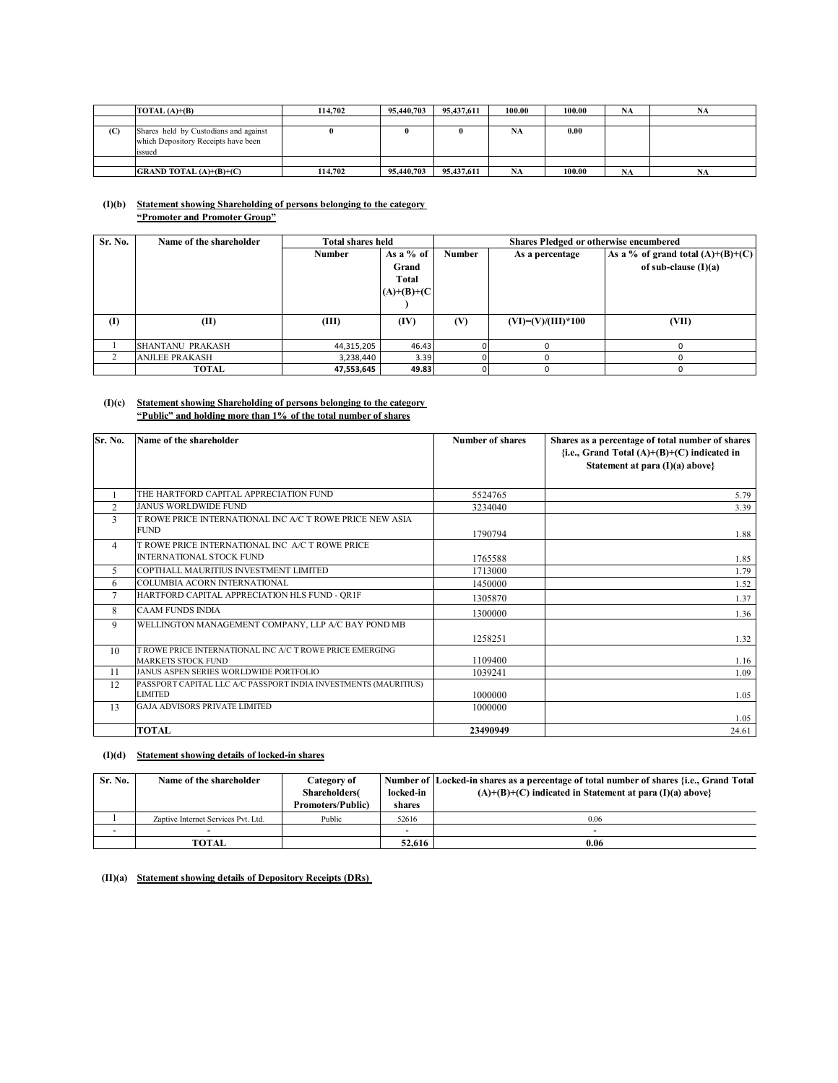|     | TOTAL $(A)+(B)$                                                                        | 114,702 | 95,440,703 | 95.437.611 | 100.00    | 100.00 | <b>NA</b> | NA |
|-----|----------------------------------------------------------------------------------------|---------|------------|------------|-----------|--------|-----------|----|
|     |                                                                                        |         |            |            |           |        |           |    |
| (C) | Shares held by Custodians and against<br>which Depository Receipts have been<br>issued |         |            |            | <b>NA</b> | 0.00   |           |    |
|     |                                                                                        |         |            |            |           |        |           |    |
|     | <b>GRAND TOTAL</b> $(A)+(B)+(C)$                                                       | 114,702 | 95,440,703 | 95.437.611 | <b>NA</b> | 100.00 | <b>NA</b> | NA |

#### **(I)(b) Statement showing Shareholding of persons belonging to the category "Promoter and Promoter Group"**

| Sr. No. | Name of the shareholder | <b>Total shares held</b> |               | Shares Pledged or otherwise encumbered |                      |                                     |
|---------|-------------------------|--------------------------|---------------|----------------------------------------|----------------------|-------------------------------------|
|         |                         | <b>Number</b>            | As a $%$ of   | Number<br>As a percentage              |                      | As a % of grand total $(A)+(B)+(C)$ |
|         |                         |                          | Grand         |                                        |                      | of sub-clause $(I)(a)$              |
|         |                         |                          | Total         |                                        |                      |                                     |
|         |                         |                          | $(A)+(B)+(C)$ |                                        |                      |                                     |
|         |                         |                          |               |                                        |                      |                                     |
| $($ I   | (II)                    | (III)                    | (IV)          | (V)                                    | $(VI)=(V)/(III)*100$ | (VII)                               |
|         |                         |                          |               |                                        |                      |                                     |
|         | SHANTANU PRAKASH        | 44,315,205               | 46.43         |                                        |                      |                                     |
|         | <b>ANJLEE PRAKASH</b>   | 3,238,440                | 3.39          |                                        |                      |                                     |
|         | <b>TOTAL</b>            | 47,553,645               | 49.83         |                                        |                      | 0                                   |

## **(I)(c) Statement showing Shareholding of persons belonging to the category "Public" and holding more than 1% of the total number of shares**

| Sr. No.        | Name of the shareholder                                         | <b>Number of shares</b> | Shares as a percentage of total number of shares |
|----------------|-----------------------------------------------------------------|-------------------------|--------------------------------------------------|
|                |                                                                 |                         | {i.e., Grand Total $(A)+(B)+(C)$ indicated in    |
|                |                                                                 |                         | Statement at para $(I)(a)$ above}                |
|                |                                                                 |                         |                                                  |
|                | THE HARTFORD CAPITAL APPRECIATION FUND                          | 5524765                 | 5.79                                             |
| $\overline{2}$ | <b>JANUS WORLDWIDE FUND</b>                                     | 3234040                 | 3.39                                             |
| 3              | T ROWE PRICE INTERNATIONAL INC A/C T ROWE PRICE NEW ASIA        |                         |                                                  |
|                | <b>FUND</b>                                                     | 1790794                 | 1.88                                             |
| 4              | T ROWE PRICE INTERNATIONAL INC A/C T ROWE PRICE                 |                         |                                                  |
|                | <b>INTERNATIONAL STOCK FUND</b>                                 | 1765588                 | 1.85                                             |
| 5              | COPTHALL MAURITIUS INVESTMENT LIMITED                           | 1713000                 | 1.79                                             |
| 6              | COLUMBIA ACORN INTERNATIONAL                                    | 1450000                 | 1.52                                             |
| 7              | HARTFORD CAPITAL APPRECIATION HLS FUND - OR1F                   | 1305870                 | 1.37                                             |
| 8              | <b>CAAM FUNDS INDIA</b>                                         | 1300000                 | 1.36                                             |
| 9              | WELLINGTON MANAGEMENT COMPANY, LLP A/C BAY POND MB              |                         |                                                  |
|                |                                                                 | 1258251                 | 1.32                                             |
| 10             | T ROWE PRICE INTERNATIONAL INC A/C T ROWE PRICE EMERGING        |                         |                                                  |
|                | <b>MARKETS STOCK FUND</b>                                       | 1109400                 | 1.16                                             |
| 11             | JANUS ASPEN SERIES WORLDWIDE PORTFOLIO                          | 1039241                 | 1.09                                             |
| 12             | PASSPORT CAPITAL LLC A/C PASSPORT INDIA INVESTMENTS (MAURITIUS) |                         |                                                  |
|                | <b>LIMITED</b>                                                  | 1000000                 | 1.05                                             |
| 13             | <b>GAJA ADVISORS PRIVATE LIMITED</b>                            | 1000000                 | 1.05                                             |
|                | <b>TOTAL</b>                                                    | 23490949                | 24.61                                            |

## **(I)(d) Statement showing details of locked-in shares**

| Sr. No. | Name of the shareholder             | Category of<br><b>Shareholders</b> | locked-in | Number of Locked-in shares as a percentage of total number of shares {i.e., Grand Total<br>$(A)+(B)+(C)$ indicated in Statement at para $(I)(a)$ above |
|---------|-------------------------------------|------------------------------------|-----------|--------------------------------------------------------------------------------------------------------------------------------------------------------|
|         |                                     | <b>Promoters/Public)</b>           | shares    |                                                                                                                                                        |
|         | Zaptive Internet Services Pvt. Ltd. | Public                             | 52616     | 0.06                                                                                                                                                   |
|         |                                     |                                    | -         |                                                                                                                                                        |
|         | <b>TOTAL</b>                        |                                    | 52.616    | 0.06                                                                                                                                                   |

**(II)(a) Statement showing details of Depository Receipts (DRs)**